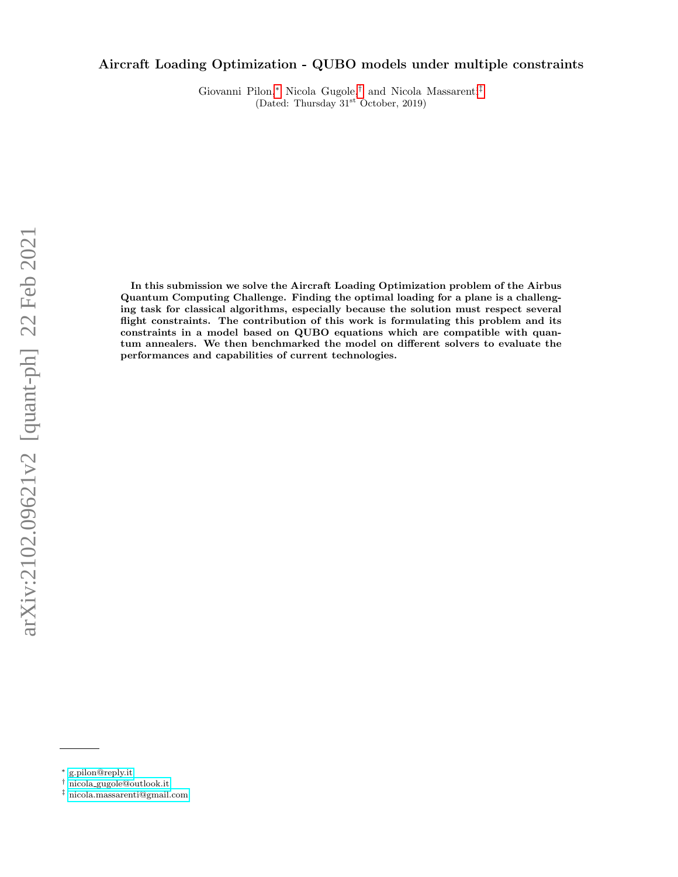# Aircraft Loading Optimization - QUBO models under multiple constraints

Giovanni Pilon,[∗](#page-0-0) Nicola Gugole,[†](#page-0-1) and Nicola Massarenti[‡](#page-0-2) (Dated: Thursday 31st October, 2019)

In this submission we solve the Aircraft Loading Optimization problem of the Airbus Quantum Computing Challenge. Finding the optimal loading for a plane is a challenging task for classical algorithms, especially because the solution must respect several flight constraints. The contribution of this work is formulating this problem and its constraints in a model based on QUBO equations which are compatible with quantum annealers. We then benchmarked the model on different solvers to evaluate the performances and capabilities of current technologies.

<span id="page-0-0"></span><sup>∗</sup> [g.pilon@reply.it](mailto:g.pilon@reply.it)

<span id="page-0-1"></span><sup>†</sup> nicola [gugole@outlook.it](mailto:nicola_gugole@outlook.it)

<span id="page-0-2"></span><sup>‡</sup> [nicola.massarenti@gmail.com](mailto:nicola.massarenti@gmail.com)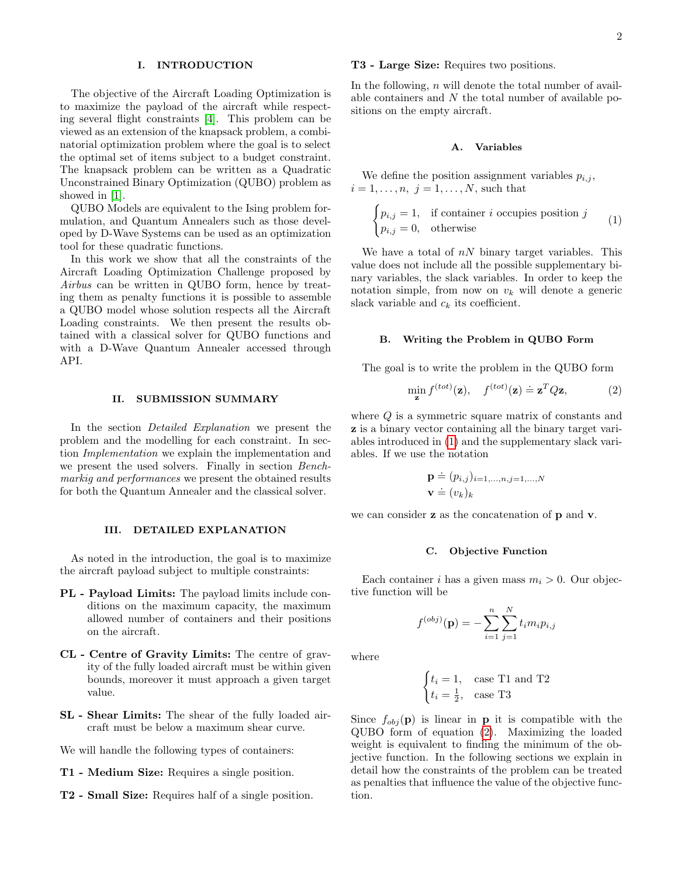## I. INTRODUCTION

The objective of the Aircraft Loading Optimization is to maximize the payload of the aircraft while respecting several flight constraints [\[4\]](#page-6-0). This problem can be viewed as an extension of the knapsack problem, a combinatorial optimization problem where the goal is to select the optimal set of items subject to a budget constraint. The knapsack problem can be written as a Quadratic Unconstrained Binary Optimization (QUBO) problem as showed in [\[1\]](#page-6-1).

QUBO Models are equivalent to the Ising problem formulation, and Quantum Annealers such as those developed by D-Wave Systems can be used as an optimization tool for these quadratic functions.

In this work we show that all the constraints of the Aircraft Loading Optimization Challenge proposed by Airbus can be written in QUBO form, hence by treating them as penalty functions it is possible to assemble a QUBO model whose solution respects all the Aircraft Loading constraints. We then present the results obtained with a classical solver for QUBO functions and with a D-Wave Quantum Annealer accessed through API.

#### II. SUBMISSION SUMMARY

In the section *Detailed Explanation* we present the problem and the modelling for each constraint. In section Implementation we explain the implementation and we present the used solvers. Finally in section Benchmarkig and performances we present the obtained results for both the Quantum Annealer and the classical solver.

## <span id="page-1-2"></span>III. DETAILED EXPLANATION

As noted in the introduction, the goal is to maximize the aircraft payload subject to multiple constraints:

- PL Payload Limits: The payload limits include conditions on the maximum capacity, the maximum allowed number of containers and their positions on the aircraft.
- CL Centre of Gravity Limits: The centre of gravity of the fully loaded aircraft must be within given bounds, moreover it must approach a given target value.
- SL Shear Limits: The shear of the fully loaded aircraft must be below a maximum shear curve.

We will handle the following types of containers:

- T1 Medium Size: Requires a single position.
- T2 Small Size: Requires half of a single position.

## T3 - Large Size: Requires two positions.

In the following,  $n$  will denote the total number of available containers and  $N$  the total number of available positions on the empty aircraft.

#### <span id="page-1-3"></span>A. Variables

We define the position assignment variables  $p_{i,j}$ ,  $i = 1, \ldots, n, j = 1, \ldots, N$ , such that

<span id="page-1-0"></span>
$$
\begin{cases} p_{i,j} = 1, & \text{if container } i \text{ occupies position } j \\ p_{i,j} = 0, & \text{otherwise} \end{cases}
$$
 (1)

We have a total of  $nN$  binary target variables. This value does not include all the possible supplementary binary variables, the slack variables. In order to keep the notation simple, from now on  $v_k$  will denote a generic slack variable and  $c_k$  its coefficient.

## B. Writing the Problem in QUBO Form

The goal is to write the problem in the QUBO form

<span id="page-1-1"></span>
$$
\min_{\mathbf{z}} f^{(tot)}(\mathbf{z}), \quad f^{(tot)}(\mathbf{z}) \doteq \mathbf{z}^T Q \mathbf{z}, \tag{2}
$$

where  $Q$  is a symmetric square matrix of constants and z is a binary vector containing all the binary target variables introduced in [\(1\)](#page-1-0) and the supplementary slack variables. If we use the notation

$$
\mathbf{p} \doteq (p_{i,j})_{i=1,\dots,n,j=1,\dots,N}
$$

$$
\mathbf{v} \doteq (v_k)_k
$$

we can consider **z** as the concatenation of **p** and **v**.

#### C. Objective Function

Each container i has a given mass  $m_i > 0$ . Our objective function will be

 $\overline{N}$ 

$$
f^{(obj)}({\bf p}) = - \sum_{i=1}^{n} \sum_{j=1}^{N} t_{i} m_{i} p_{i,j}
$$

where

$$
\begin{cases} t_i = 1, & \text{case T1 and T2} \\ t_i = \frac{1}{2}, & \text{case T3} \end{cases}
$$

Since  $f_{obj}(\mathbf{p})$  is linear in **p** it is compatible with the QUBO form of equation [\(2\)](#page-1-1). Maximizing the loaded weight is equivalent to finding the minimum of the objective function. In the following sections we explain in detail how the constraints of the problem can be treated as penalties that influence the value of the objective function.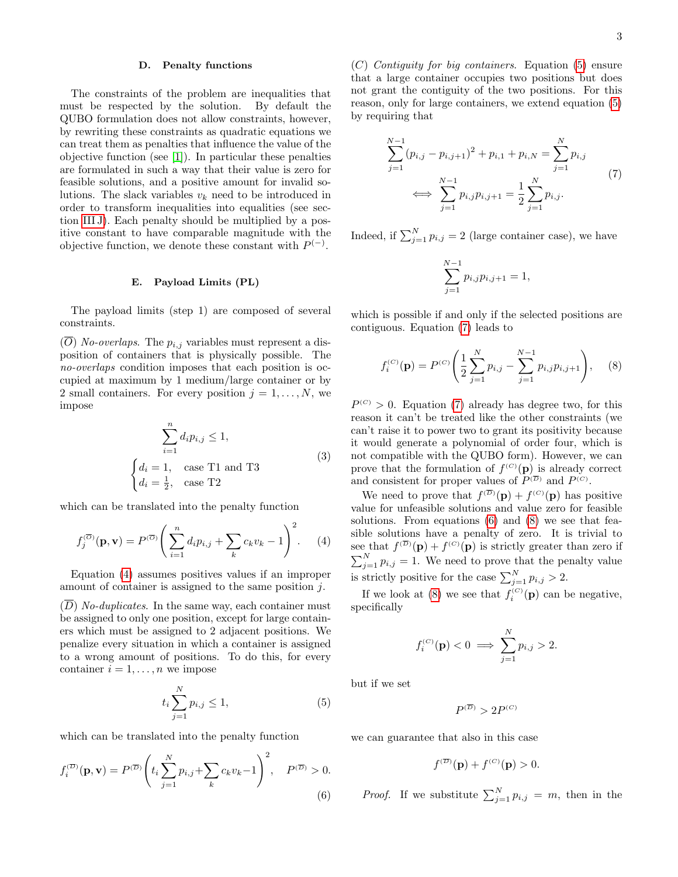## D. Penalty functions

The constraints of the problem are inequalities that must be respected by the solution. By default the QUBO formulation does not allow constraints, however, by rewriting these constraints as quadratic equations we can treat them as penalties that influence the value of the objective function (see [\[1\]](#page-6-1)). In particular these penalties are formulated in such a way that their value is zero for feasible solutions, and a positive amount for invalid solutions. The slack variables  $v_k$  need to be introduced in order to transform inequalities into equalities (see section [III J\)](#page-4-0). Each penalty should be multiplied by a positive constant to have comparable magnitude with the objective function, we denote these constant with  $P^{(-)}$ .

#### E. Payload Limits (PL)

The payload limits (step 1) are composed of several constraints.

 $(\overline{O})$  No-overlaps. The  $p_{i,j}$  variables must represent a disposition of containers that is physically possible. The no-overlaps condition imposes that each position is occupied at maximum by 1 medium/large container or by 2 small containers. For every position  $j = 1, \ldots, N$ , we impose

$$
\sum_{i=1}^{n} d_i p_{i,j} \le 1,
$$
\n
$$
\begin{cases}\nd_i = 1, & \text{case T1 and T3} \\
d_i = \frac{1}{2}, & \text{case T2}\n\end{cases}
$$
\n(3)

which can be translated into the penalty function

<span id="page-2-0"></span>
$$
f_j^{(\overline{O})}(\mathbf{p}, \mathbf{v}) = P^{(\overline{O})} \left( \sum_{i=1}^n d_i p_{i,j} + \sum_k c_k v_k - 1 \right)^2.
$$
 (4)

Equation [\(4\)](#page-2-0) assumes positives values if an improper amount of container is assigned to the same position j.

 $(D)$  No-duplicates. In the same way, each container must be assigned to only one position, except for large containers which must be assigned to 2 adjacent positions. We penalize every situation in which a container is assigned to a wrong amount of positions. To do this, for every container  $i = 1, \ldots, n$  we impose

<span id="page-2-1"></span>
$$
t_i \sum_{j=1}^{N} p_{i,j} \le 1,
$$
\n(5)

which can be translated into the penalty function

<span id="page-2-3"></span>
$$
f_i^{(\overline{D})}(\mathbf{p}, \mathbf{v}) = P^{(\overline{D})} \left( t_i \sum_{j=1}^N p_{i,j} + \sum_k c_k v_k - 1 \right)^2, \quad P^{(\overline{D})} > 0.
$$
\n(6)

(C) Contiguity for big containers. Equation [\(5\)](#page-2-1) ensure that a large container occupies two positions but does not grant the contiguity of the two positions. For this reason, only for large containers, we extend equation [\(5\)](#page-2-1) by requiring that

<span id="page-2-2"></span>
$$
\sum_{j=1}^{N-1} (p_{i,j} - p_{i,j+1})^2 + p_{i,1} + p_{i,N} = \sum_{j=1}^{N} p_{i,j}
$$
  

$$
\iff \sum_{j=1}^{N-1} p_{i,j} p_{i,j+1} = \frac{1}{2} \sum_{j=1}^{N} p_{i,j}.
$$
 (7)

Indeed, if  $\sum_{j=1}^{N} p_{i,j} = 2$  (large container case), we have

$$
\sum_{j=1}^{N-1} p_{i,j} p_{i,j+1} = 1,
$$

which is possible if and only if the selected positions are contiguous. Equation [\(7\)](#page-2-2) leads to

<span id="page-2-4"></span>
$$
f_i^{(C)}(\mathbf{p}) = P^{(C)}\left(\frac{1}{2}\sum_{j=1}^N p_{i,j} - \sum_{j=1}^{N-1} p_{i,j}p_{i,j+1}\right), \quad (8)
$$

 $P^{(C)} > 0$ . Equation [\(7\)](#page-2-2) already has degree two, for this reason it can't be treated like the other constraints (we can't raise it to power two to grant its positivity because it would generate a polynomial of order four, which is not compatible with the QUBO form). However, we can prove that the formulation of  $f^{(C)}(\mathbf{p})$  is already correct and consistent for proper values of  $P^{(\overline{D})}$  and  $P^{(C)}$ .

We need to prove that  $f^{(\overline{D})}(\mathbf{p}) + f^{(C)}(\mathbf{p})$  has positive value for unfeasible solutions and value zero for feasible solutions. From equations [\(6\)](#page-2-3) and [\(8\)](#page-2-4) we see that feasible solutions have a penalty of zero. It is trivial to see that  $f^{(D)}(\mathbf{p}) + f^{(C)}(\mathbf{p})$  is strictly greater than zero if  $\sum_{j=1}^{N} p_{i,j} = 1$ . We need to prove that the penalty value is strictly positive for the case  $\sum_{j=1}^{N} p_{i,j} > 2$ .

If we look at [\(8\)](#page-2-4) we see that  $f_i^{(C)}(\mathbf{p})$  can be negative, specifically

$$
f_i^{(C)}(\mathbf{p}) < 0 \implies \sum_{j=1}^N p_{i,j} > 2.
$$

but if we set

$$
P^{(\overline{D})}>2P^{(C)}
$$

we can guarantee that also in this case

$$
f^{(\overline{D})}(\mathbf{p}) + f^{(C)}(\mathbf{p}) > 0.
$$

*Proof.* If we substitute  $\sum_{j=1}^{N} p_{i,j} = m$ , then in the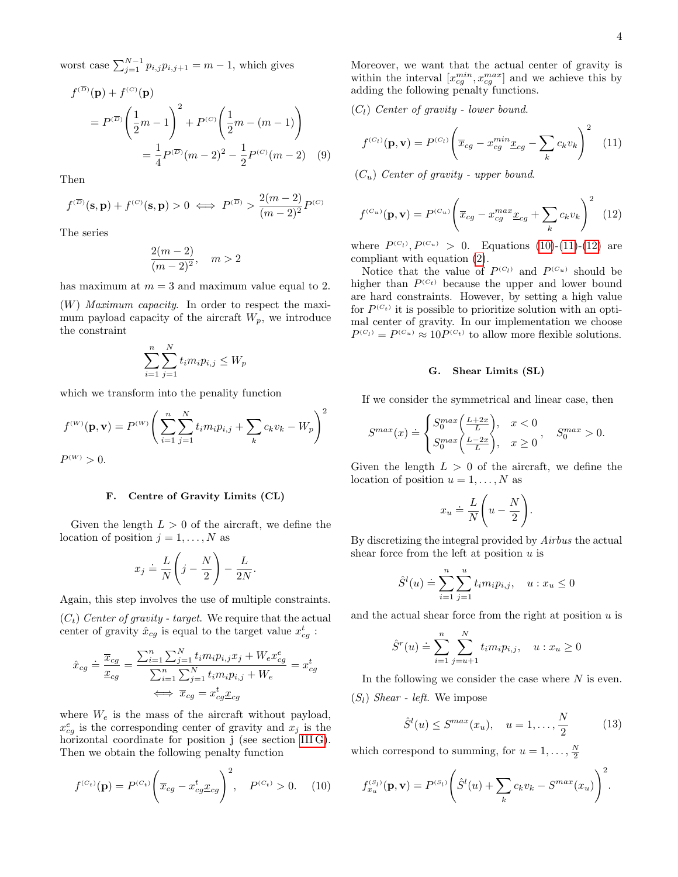worst case  $\sum_{j=1}^{N-1} p_{i,j} p_{i,j+1} = m-1$ , which gives

$$
f^{(\overline{D})}(\mathbf{p}) + f^{(C)}(\mathbf{p})
$$
  
=  $P^{(\overline{D})} \left( \frac{1}{2}m - 1 \right)^2 + P^{(C)} \left( \frac{1}{2}m - (m - 1) \right)$   
=  $\frac{1}{4} P^{(\overline{D})} (m - 2)^2 - \frac{1}{2} P^{(C)} (m - 2)$  (9)

Then

$$
f^{(\overline{D})}(\mathbf{s}, \mathbf{p}) + f^{(C)}(\mathbf{s}, \mathbf{p}) > 0 \iff P^{(\overline{D})} > \frac{2(m-2)}{(m-2)^2} P^{(C)}
$$

The series

$$
\frac{2(m-2)}{(m-2)^2}, \quad m > 2
$$

has maximum at  $m = 3$  and maximum value equal to 2.

 $(W)$  *Maximum capacity*. In order to respect the maximum payload capacity of the aircraft  $W_p$ , we introduce the constraint

$$
\sum_{i=1}^{n} \sum_{j=1}^{N} t_i m_i p_{i,j} \le W_p
$$

which we transform into the penality function

$$
f^{(W)}(\mathbf{p}, \mathbf{v}) = P^{(W)} \left( \sum_{i=1}^{n} \sum_{j=1}^{N} t_i m_i p_{i,j} + \sum_{k} c_k v_k - W_p \right)^2
$$

P  $P^{(W)} > 0.$ 

#### F. Centre of Gravity Limits (CL)

Given the length  $L > 0$  of the aircraft, we define the location of position  $j = 1, \ldots, N$  as

$$
x_j \doteq \frac{L}{N} \left( j - \frac{N}{2} \right) - \frac{L}{2N}.
$$

Again, this step involves the use of multiple constraints.

 $(C_t)$  Center of gravity - target. We require that the actual center of gravity  $\hat{x}_{cg}$  is equal to the target value  $x_{cg}^t$ :

$$
\hat{x}_{cg} \doteq \frac{\overline{x}_{cg}}{\underline{x}_{cg}} = \frac{\sum_{i=1}^{n} \sum_{j=1}^{N} t_i m_i p_{i,j} x_j + W_e x_{cg}^e}{\sum_{i=1}^{n} \sum_{j=1}^{N} t_i m_i p_{i,j} + W_e} = x_{cg}^t
$$

$$
\iff \overline{x}_{cg} = x_{cg}^t \underline{x}_{cg}
$$

where  $W_e$  is the mass of the aircraft without payload,  $x_{cg}^e$  is the corresponding center of gravity and  $x_j$  is the horizontal coordinate for position j (see section [III G\)](#page-3-0). Then we obtain the following penalty function

<span id="page-3-1"></span>
$$
f^{(C_t)}(\mathbf{p}) = P^{(C_t)} \left( \overline{x}_{cg} - x_{cg}^t \underline{x}_{cg} \right)^2, \quad P^{(C_t)} > 0. \quad (10)
$$

Moreover, we want that the actual center of gravity is within the interval  $[x_{cg}^{min}, x_{cg}^{max}]$  and we achieve this by adding the following penalty functions.

 $(C_l)$  Center of gravity - lower bound.

<span id="page-3-2"></span>
$$
f^{(C_l)}(\mathbf{p}, \mathbf{v}) = P^{(C_l)} \left( \overline{x}_{cg} - x_{cg}^{min} \underline{x}_{cg} - \sum_k c_k v_k \right)^2 \quad (11)
$$

 $(C_u)$  Center of gravity - upper bound.

<span id="page-3-3"></span>
$$
f^{(C_u)}(\mathbf{p}, \mathbf{v}) = P^{(C_u)} \left( \overline{x}_{cg} - x_{cg}^{max} \underline{x}_{cg} + \sum_k c_k v_k \right)^2 \tag{12}
$$

where  $P^{(C_1)}, P^{(C_u)} > 0$ . Equations [\(10\)](#page-3-1)-[\(11\)](#page-3-2)-[\(12\)](#page-3-3) are compliant with equation [\(2\)](#page-1-1).

Notice that the value of  $P^{(C_l)}$  and  $P^{(C_u)}$  should be higher than  $P^{(C_t)}$  because the upper and lower bound are hard constraints. However, by setting a high value for  $P^{(C_t)}$  it is possible to prioritize solution with an optimal center of gravity. In our implementation we choose  $P^{(C_l)} = P^{(C_u)} \approx 10 P^{(C_t)}$  to allow more flexible solutions.

## <span id="page-3-0"></span>G. Shear Limits (SL)

If we consider the symmetrical and linear case, then

$$
S^{max}(x) \doteq \begin{cases} S_0^{max}\left(\frac{L+2x}{L}\right), & x < 0\\ S_0^{max}\left(\frac{L-2x}{L}\right), & x \ge 0 \end{cases}, S_0^{max} > 0.
$$

Given the length  $L > 0$  of the aircraft, we define the location of position  $u = 1, \ldots, N$  as

$$
x_u \doteq \frac{L}{N} \left( u - \frac{N}{2} \right).
$$

By discretizing the integral provided by Airbus the actual shear force from the left at position  $u$  is

$$
\hat{S}^{l}(u) \doteq \sum_{i=1}^{n} \sum_{j=1}^{u} t_{i} m_{i} p_{i,j}, \quad u : x_{u} \leq 0
$$

and the actual shear force from the right at position  $u$  is

$$
\hat{S}^r(u) \doteq \sum_{i=1}^n \sum_{j=u+1}^N t_i m_i p_{i,j}, \quad u : x_u \ge 0
$$

In the following we consider the case where  $N$  is even.  $(S_l)$  *Shear - left.* We impose

<span id="page-3-4"></span>
$$
\hat{S}^{l}(u) \leq S^{max}(x_{u}), \quad u = 1, ..., \frac{N}{2}
$$
 (13)

which correspond to summing, for  $u = 1, \ldots, \frac{N}{2}$ 

$$
f_{x_u}^{(s_l)}(\mathbf{p}, \mathbf{v}) = P^{(s_l)} \left( \hat{S}^l(u) + \sum_k c_k v_k - S^{max}(x_u) \right)^2.
$$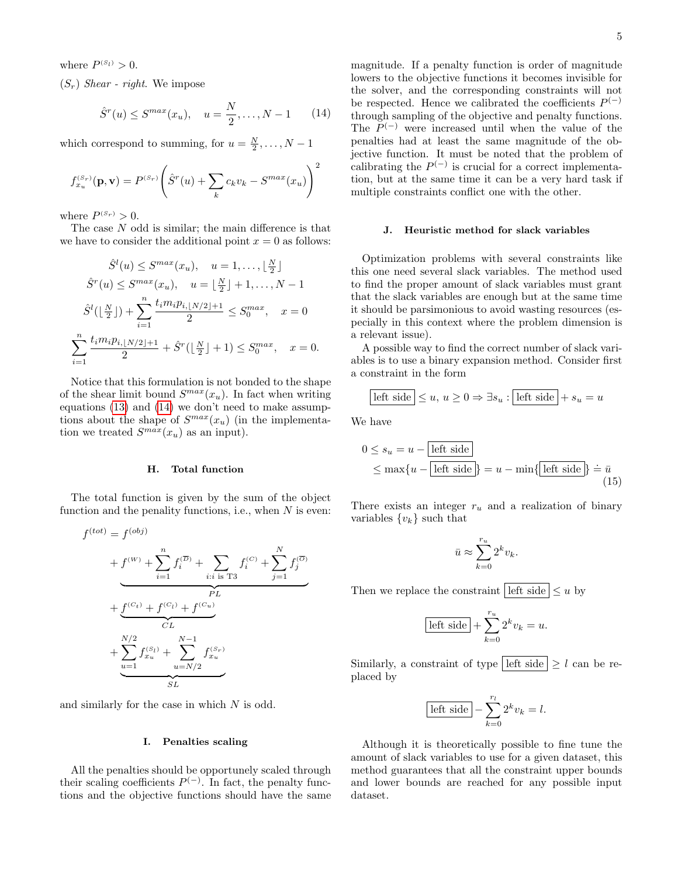where  $P^{(s_l)} > 0$ .

 $(S_r)$  Shear - right. We impose

<span id="page-4-1"></span>
$$
\hat{S}^r(u) \leq S^{max}(x_u), \quad u = \frac{N}{2}, \dots, N-1
$$
 (14)

which correspond to summing, for  $u = \frac{N}{2}, \ldots, N - 1$ 

$$
f_{x_u}^{(S_r)}(\mathbf{p}, \mathbf{v}) = P^{(S_r)}\left(\hat{S}^r(u) + \sum_k c_k v_k - S^{max}(x_u)\right)^2
$$

where  $P^{(S_r)} > 0$ .

The case N odd is similar; the main difference is that we have to consider the additional point  $x = 0$  as follows:

$$
\hat{S}^{l}(u) \leq S^{max}(x_{u}), \quad u = 1, ..., \lfloor \frac{N}{2} \rfloor
$$

$$
\hat{S}^{r}(u) \leq S^{max}(x_{u}), \quad u = \lfloor \frac{N}{2} \rfloor + 1, ..., N - 1
$$

$$
\hat{S}^{l}(\lfloor \frac{N}{2} \rfloor) + \sum_{i=1}^{n} \frac{t_{i}m_{i}p_{i, \lfloor N/2 \rfloor + 1}}{2} \leq S_{0}^{max}, \quad x = 0
$$

$$
\sum_{i=1}^{n} \frac{t_{i}m_{i}p_{i, \lfloor N/2 \rfloor + 1}}{2} + \hat{S}^{r}(\lfloor \frac{N}{2} \rfloor + 1) \leq S_{0}^{max}, \quad x = 0.
$$

Notice that this formulation is not bonded to the shape of the shear limit bound  $S^{max}(x_u)$ . In fact when writing equations [\(13\)](#page-3-4) and [\(14\)](#page-4-1) we don't need to make assumptions about the shape of  $S^{max}(x_u)$  (in the implementation we treated  $S^{max}(x_u)$  as an input).

## H. Total function

The total function is given by the sum of the object function and the penality functions, i.e., when  $N$  is even:

$$
f^{(tot)} = f^{(obj)}
$$
  
+  $f^{(W)} + \sum_{i=1}^{n} f_i^{(\overline{D})} + \sum_{i:i \text{ is } T3} f_i^{(C)} + \sum_{j=1}^{N} f_j^{(\overline{O})}$   
+  $f^{(C_t)} + f^{(C_t)} + f^{(C_u)}$   
+  $\sum_{u=1}^{N/2} f_{x_u}^{(S_t)} + \sum_{u=N/2}^{N-1} f_{x_u}^{(S_r)}$ 

and similarly for the case in which  $N$  is odd.

#### I. Penalties scaling

All the penalties should be opportunely scaled through their scaling coefficients  $P^{(-)}$ . In fact, the penalty functions and the objective functions should have the same magnitude. If a penalty function is order of magnitude lowers to the objective functions it becomes invisible for the solver, and the corresponding constraints will not be respected. Hence we calibrated the coefficients  $P^{(-)}$ through sampling of the objective and penalty functions. The  $P^{(-)}$  were increased until when the value of the penalties had at least the same magnitude of the objective function. It must be noted that the problem of calibrating the  $P^{(-)}$  is crucial for a correct implementation, but at the same time it can be a very hard task if multiple constraints conflict one with the other.

#### <span id="page-4-0"></span>J. Heuristic method for slack variables

Optimization problems with several constraints like this one need several slack variables. The method used to find the proper amount of slack variables must grant that the slack variables are enough but at the same time it should be parsimonious to avoid wasting resources (especially in this context where the problem dimension is a relevant issue).

A possible way to find the correct number of slack variables is to use a binary expansion method. Consider first a constraint in the form

$$
\boxed{\text{left side}} \le u, u \ge 0 \Rightarrow \exists s_u : \boxed{\text{left side}} + s_u = u
$$

We have

$$
0 \le s_u = u - \boxed{\text{left side}}
$$
  
 
$$
\le \max\{u - \boxed{\text{left side}}\} = u - \min\{\boxed{\text{left side}}\} \doteq \bar{u}
$$
  
(15)

There exists an integer  $r_u$  and a realization of binary variables  $\{v_k\}$  such that

$$
\bar{u}\approx \sum_{k=0}^{r_u} 2^k v_k.
$$

Then we replace the constraint left side  $\leq u$  by

$$
\overline{\text{ left side}} + \sum_{k=0}^{r_u} 2^k v_k = u.
$$

Similarly, a constraint of type left side  $\geq l$  can be replaced by

$$
\boxed{\text{left side}} - \sum_{k=0}^{r_l} 2^k v_k = l.
$$

Although it is theoretically possible to fine tune the amount of slack variables to use for a given dataset, this method guarantees that all the constraint upper bounds and lower bounds are reached for any possible input dataset.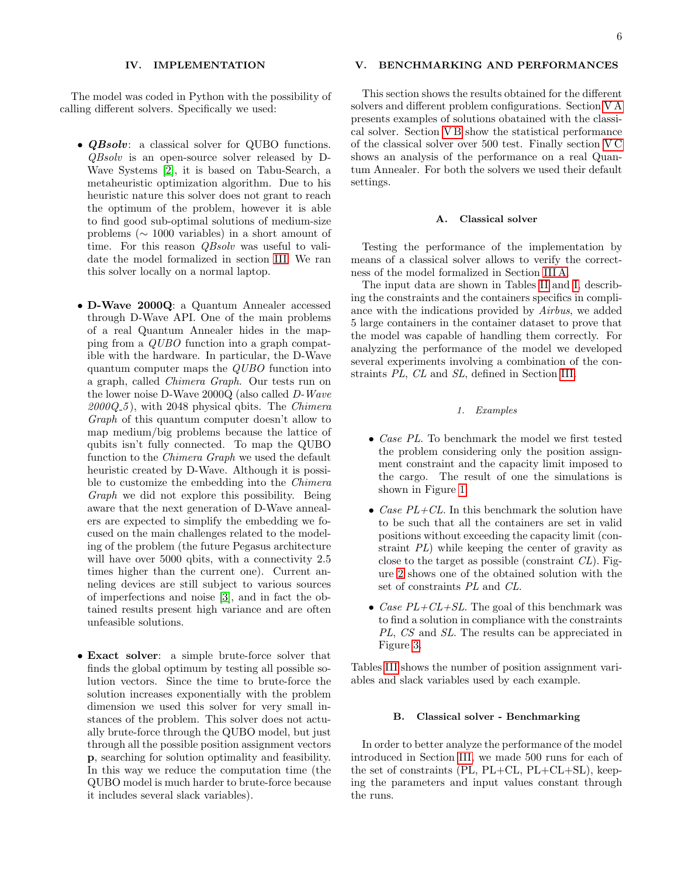## IV. IMPLEMENTATION

The model was coded in Python with the possibility of calling different solvers. Specifically we used:

- **QBsolv**: a classical solver for QUBO functions. QBsolv is an open-source solver released by D-Wave Systems [\[2\]](#page-6-2), it is based on Tabu-Search, a metaheuristic optimization algorithm. Due to his heuristic nature this solver does not grant to reach the optimum of the problem, however it is able to find good sub-optimal solutions of medium-size problems (∼ 1000 variables) in a short amount of time. For this reason *QBsolv* was useful to validate the model formalized in section [III.](#page-1-2) We ran this solver locally on a normal laptop.
- D-Wave 2000Q: a Quantum Annealer accessed through D-Wave API. One of the main problems of a real Quantum Annealer hides in the mapping from a QUBO function into a graph compatible with the hardware. In particular, the D-Wave quantum computer maps the QUBO function into a graph, called Chimera Graph. Our tests run on the lower noise D-Wave 2000Q (also called D-Wave  $2000Q_5$ , with 2048 physical qbits. The *Chimera* Graph of this quantum computer doesn't allow to map medium/big problems because the lattice of qubits isn't fully connected. To map the QUBO function to the Chimera Graph we used the default heuristic created by D-Wave. Although it is possible to customize the embedding into the Chimera Graph we did not explore this possibility. Being aware that the next generation of D-Wave annealers are expected to simplify the embedding we focused on the main challenges related to the modeling of the problem (the future Pegasus architecture will have over 5000 qbits, with a connectivity 2.5 times higher than the current one). Current anneling devices are still subject to various sources of imperfections and noise [\[3\]](#page-6-3), and in fact the obtained results present high variance and are often unfeasible solutions.
- Exact solver: a simple brute-force solver that finds the global optimum by testing all possible solution vectors. Since the time to brute-force the solution increases exponentially with the problem dimension we used this solver for very small instances of the problem. This solver does not actually brute-force through the QUBO model, but just through all the possible position assignment vectors p, searching for solution optimality and feasibility. In this way we reduce the computation time (the QUBO model is much harder to brute-force because it includes several slack variables).

## V. BENCHMARKING AND PERFORMANCES

This section shows the results obtained for the different solvers and different problem configurations. Section [V A](#page-5-0) presents examples of solutions obatained with the classical solver. Section [V B](#page-5-1) show the statistical performance of the classical solver over 500 test. Finally section [V C](#page-6-4) shows an analysis of the performance on a real Quantum Annealer. For both the solvers we used their default settings.

#### <span id="page-5-0"></span>A. Classical solver

Testing the performance of the implementation by means of a classical solver allows to verify the correctness of the model formalized in Section [III A.](#page-1-3)

The input data are shown in Tables [II](#page-7-0) and [I,](#page-7-1) describing the constraints and the containers specifics in compliance with the indications provided by Airbus, we added 5 large containers in the container dataset to prove that the model was capable of handling them correctly. For analyzing the performance of the model we developed several experiments involving a combination of the constraints PL, CL and SL, defined in Section [III.](#page-1-2)

#### 1. Examples

- *Case PL*. To benchmark the model we first tested the problem considering only the position assignment constraint and the capacity limit imposed to the cargo. The result of one the simulations is shown in Figure [1.](#page-9-0)
- Case  $PL+CL$ . In this benchmark the solution have to be such that all the containers are set in valid positions without exceeding the capacity limit (constraint PL) while keeping the center of gravity as close to the target as possible (constraint  $CL$ ). Figure [2](#page-10-0) shows one of the obtained solution with the set of constraints PL and CL.
- Case  $PL+CL+SL$ . The goal of this benchmark was to find a solution in compliance with the constraints PL, CS and SL. The results can be appreciated in Figure [3.](#page-10-1)

Tables [III](#page-8-0) shows the number of position assignment variables and slack variables used by each example.

#### <span id="page-5-1"></span>B. Classical solver - Benchmarking

In order to better analyze the performance of the model introduced in Section [III,](#page-1-2) we made 500 runs for each of the set of constraints  $(PL, PL+CL, PL+CL+SL)$ , keeping the parameters and input values constant through the runs.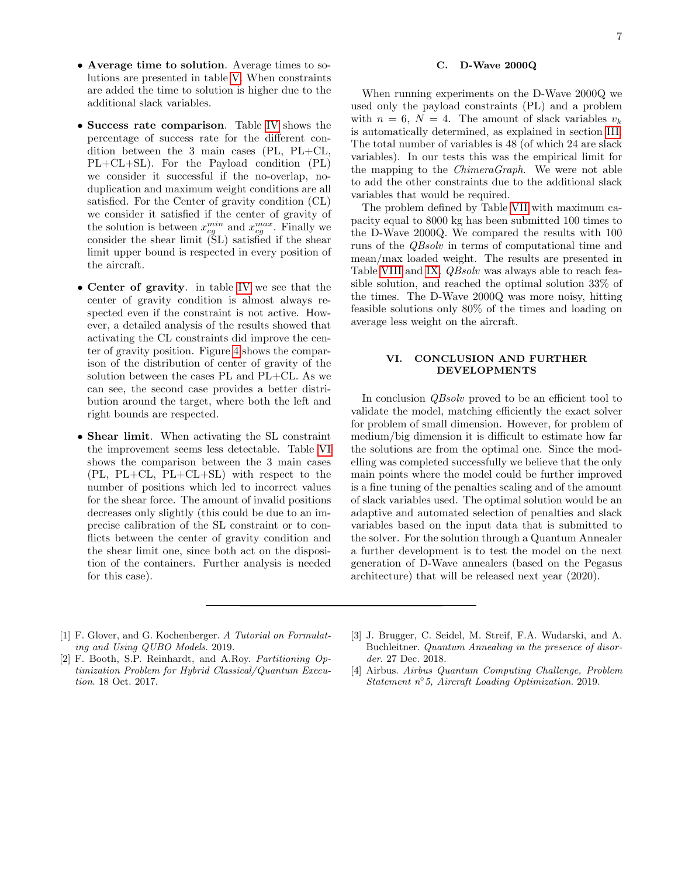- Average time to solution. Average times to solutions are presented in table [V.](#page-8-1) When constraints are added the time to solution is higher due to the additional slack variables.
- Success rate comparison. Table [IV](#page-8-2) shows the percentage of success rate for the different condition between the 3 main cases (PL, PL+CL, PL+CL+SL). For the Payload condition (PL) we consider it successful if the no-overlap, noduplication and maximum weight conditions are all satisfied. For the Center of gravity condition (CL) we consider it satisfied if the center of gravity of the solution is between  $x_{cg}^{min}$  and  $x_{cg}^{max}$ . Finally we consider the shear limit (SL) satisfied if the shear limit upper bound is respected in every position of the aircraft.
- Center of gravity. in table [IV](#page-8-2) we see that the center of gravity condition is almost always respected even if the constraint is not active. However, a detailed analysis of the results showed that activating the CL constraints did improve the center of gravity position. Figure [4](#page-10-2) shows the comparison of the distribution of center of gravity of the solution between the cases PL and PL+CL. As we can see, the second case provides a better distribution around the target, where both the left and right bounds are respected.
- Shear limit. When activating the SL constraint the improvement seems less detectable. Table [VI](#page-8-3) shows the comparison between the 3 main cases (PL, PL+CL, PL+CL+SL) with respect to the number of positions which led to incorrect values for the shear force. The amount of invalid positions decreases only slightly (this could be due to an imprecise calibration of the SL constraint or to conflicts between the center of gravity condition and the shear limit one, since both act on the disposition of the containers. Further analysis is needed for this case).

7

## <span id="page-6-4"></span>C. D-Wave 2000Q

When running experiments on the D-Wave 2000Q we used only the payload constraints (PL) and a problem with  $n = 6$ ,  $N = 4$ . The amount of slack variables  $v_k$ is automatically determined, as explained in section [III.](#page-1-2) The total number of variables is 48 (of which 24 are slack variables). In our tests this was the empirical limit for the mapping to the ChimeraGraph. We were not able to add the other constraints due to the additional slack variables that would be required.

The problem defined by Table [VII](#page-8-4) with maximum capacity equal to 8000 kg has been submitted 100 times to the D-Wave 2000Q. We compared the results with 100 runs of the QBsolv in terms of computational time and mean/max loaded weight. The results are presented in Table [VIII](#page-8-5) and [IX.](#page-8-6) *QBsolv* was always able to reach feasible solution, and reached the optimal solution 33% of the times. The D-Wave 2000Q was more noisy, hitting feasible solutions only 80% of the times and loading on average less weight on the aircraft.

## VI. CONCLUSION AND FURTHER DEVELOPMENTS

In conclusion QBsolv proved to be an efficient tool to validate the model, matching efficiently the exact solver for problem of small dimension. However, for problem of medium/big dimension it is difficult to estimate how far the solutions are from the optimal one. Since the modelling was completed successfully we believe that the only main points where the model could be further improved is a fine tuning of the penalties scaling and of the amount of slack variables used. The optimal solution would be an adaptive and automated selection of penalties and slack variables based on the input data that is submitted to the solver. For the solution through a Quantum Annealer a further development is to test the model on the next generation of D-Wave annealers (based on the Pegasus architecture) that will be released next year (2020).

- <span id="page-6-1"></span>[1] F. Glover, and G. Kochenberger. A Tutorial on Formulating and Using QUBO Models. 2019.
- <span id="page-6-2"></span>[2] F. Booth, S.P. Reinhardt, and A.Roy. Partitioning Optimization Problem for Hybrid Classical/Quantum Execution. 18 Oct. 2017.
- <span id="page-6-3"></span>[3] J. Brugger, C. Seidel, M. Streif, F.A. Wudarski, and A. Buchleitner. Quantum Annealing in the presence of disorder. 27 Dec. 2018.
- <span id="page-6-0"></span>[4] Airbus. Airbus Quantum Computing Challenge, Problem Statement n◦ 5, Aircraft Loading Optimization. 2019.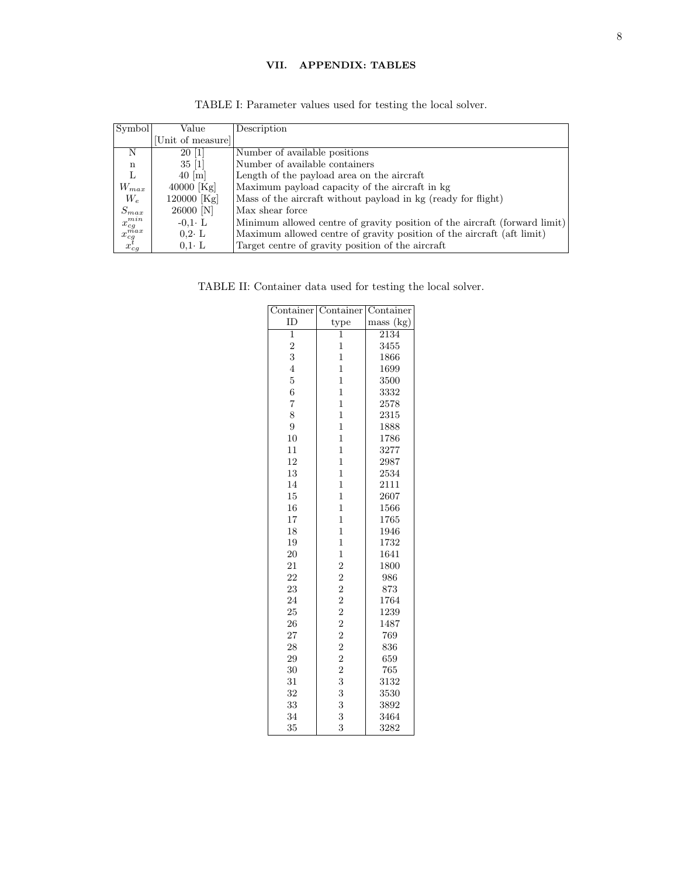# VII. APPENDIX: TABLES

<span id="page-7-1"></span>

| Symbol                                                  | Value              | Description                                                                |
|---------------------------------------------------------|--------------------|----------------------------------------------------------------------------|
|                                                         | Unit of measure    |                                                                            |
| N                                                       | 20 1               | Number of available positions                                              |
| n                                                       | $35 \; [1]$        | Number of available containers                                             |
| L                                                       | $40 \vert m \vert$ | Length of the payload area on the aircraft                                 |
| $W_{max}$                                               | 40000 [ $Kg$ ]     | Maximum payload capacity of the aircraft in kg                             |
| $W_e$                                                   | 120000 [Kg]        | Mass of the aircraft without payload in kg (ready for flight)              |
| $S_{max}$                                               | $26000$ [N]        | Max shear force                                                            |
| $x_{cg}^{min}$                                          | $-0.1 \cdot L$     | Minimum allowed centre of gravity position of the aircraft (forward limit) |
|                                                         | $0.2 \cdot L$      | Maximum allowed centre of gravity position of the aircraft (aft limit)     |
| $\begin{matrix} x_{cg}^{max} \ x_{cg}^{t} \end{matrix}$ | $0.1 \cdot L$      | Target centre of gravity position of the aircraft                          |

TABLE I: Parameter values used for testing the local solver.

<span id="page-7-0"></span>TABLE II: Container data used for testing the local solver.

| $\overline{\text{Cont}}$ ainer | $\overline{\text{Container}}$                     | Container |
|--------------------------------|---------------------------------------------------|-----------|
| ID                             | type                                              | mass (kg) |
| $\overline{1}$                 | $\mathbf 1$                                       | 2134      |
| $\overline{2}$                 | $\mathbf 1$                                       | 3455      |
| 3                              | $\mathbf 1$                                       | 1866      |
| $\overline{4}$                 | $\overline{1}$                                    | 1699      |
| $\overline{5}$                 | $\overline{1}$                                    | 3500      |
| $\overline{6}$                 | $\mathbf 1$                                       | 3332      |
| $\overline{7}$                 | $\mathbf 1$                                       | 2578      |
| 8                              | $\mathbf{1}$                                      | 2315      |
| $\overline{9}$                 | $\overline{1}$                                    | 1888      |
| 10                             | $\mathbf 1$                                       | 1786      |
| 11                             | $\overline{1}$                                    | 3277      |
| 12                             | $\mathbf{1}$                                      | 2987      |
| 13                             | $\mathbf{1}$                                      | 2534      |
| 14                             | $\mathbf 1$                                       | 2111      |
| 15                             | $\overline{1}$                                    | 2607      |
| 16                             | $\mathbf{1}$                                      | 1566      |
| 17                             | $\mathbf{1}$                                      | 1765      |
| 18                             | $\mathbf 1$                                       | 1946      |
| 19                             | $\mathbf{1}$                                      | 1732      |
| 20                             | $\overline{1}$                                    | 1641      |
| 21                             | $\overline{2}$                                    | 1800      |
| 22                             | $\overline{2}$                                    | 986       |
| 23                             |                                                   | 873       |
| 24                             |                                                   | 1764      |
| 25                             |                                                   | 1239      |
| 26                             |                                                   | 1487      |
| 27                             | $\begin{smallmatrix}2&2\2&2\2&2\end{smallmatrix}$ | 769       |
| 28                             |                                                   | 836       |
| 29                             | $\overline{2}$                                    | 659       |
| 30                             | $\overline{2}$                                    | 765       |
| 31                             | 3                                                 | 3132      |
| 32                             | 3                                                 | 3530      |
| 33                             | 3                                                 | 3892      |
| 34                             | 3                                                 | 3464      |
| 35                             | 3                                                 | 3282      |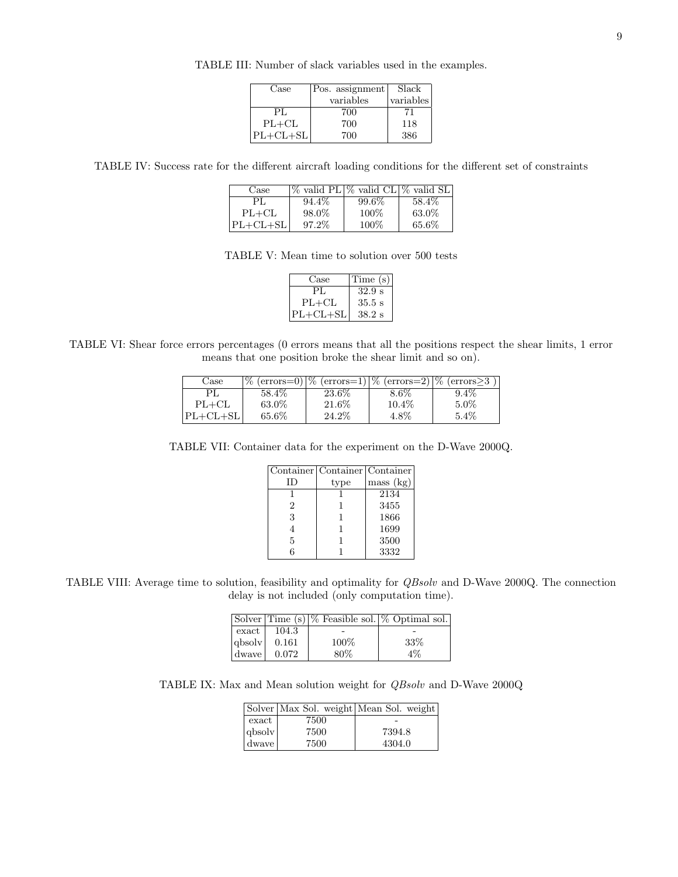| Case       | Pos. assignment | Slack     |
|------------|-----------------|-----------|
|            | variables       | variables |
| PL.        | 700             |           |
| $PL+CL$    | 700             | 118       |
| $PL+CL+SL$ | 700             | 386       |

TABLE III: Number of slack variables used in the examples.

<span id="page-8-2"></span><span id="page-8-1"></span><span id="page-8-0"></span>TABLE IV: Success rate for the different aircraft loading conditions for the different set of constraints

| Case                |       | $\%$ valid PL $\%$ valid CL $\%$ valid SL |        |
|---------------------|-------|-------------------------------------------|--------|
| PL.                 | 94.4% | 99.6%                                     | 58.4\% |
| $PL+CL$             | 98.0% | 100%                                      | 63.0%  |
| $\mathrm{PL+CL+SL}$ | 97.2% | 100%                                      | 65.6%  |

TABLE V: Mean time to solution over 500 tests

| Case         | Time (s)          |
|--------------|-------------------|
| PL.          | $32.9 \text{ s}$  |
| $PL+CL$      | $35.5 \mathrm{s}$ |
| $ PL+CL+SL $ | $38.2~\mathrm{s}$ |

<span id="page-8-4"></span><span id="page-8-3"></span>TABLE VI: Shear force errors percentages (0 errors means that all the positions respect the shear limits, 1 error means that one position broke the shear limit and so on).

| Case       | $\%$   |        |          | $(\text{errors}=0)$  % $(\text{errors}=1)$  % $(\text{errors}=2)$  % $(\text{errors}\geq3)$ |
|------------|--------|--------|----------|---------------------------------------------------------------------------------------------|
| PI.        | 58.4\% | 23.6%  | 8.6%     | $9.4\%$                                                                                     |
| $PL+CL$    | 63.0%  | 21.6\% | $10.4\%$ | $5.0\%$                                                                                     |
| $PL+CL+SL$ | 65.6%  | 24.2\% | $4.8\%$  | $5.4\%$                                                                                     |

TABLE VII: Container data for the experiment on the D-Wave 2000Q.

|    | Container   Container   Container |           |
|----|-----------------------------------|-----------|
| ID | type                              | mass (kg) |
|    |                                   | 2134      |
| 2  |                                   | 3455      |
| 3  |                                   | 1866      |
|    |                                   | 1699      |
| 5  |                                   | 3500      |
| 6  |                                   | 3332      |

<span id="page-8-6"></span><span id="page-8-5"></span>TABLE VIII: Average time to solution, feasibility and optimality for QBsolv and D-Wave 2000Q. The connection delay is not included (only computation time).

| $\boldsymbol{\mathrm{exact}}$ | 104.3 |      |       |
|-------------------------------|-------|------|-------|
| qbsolv                        | 0.161 | 100% | 33%   |
| dwave l                       | 0.072 | 80%  | $4\%$ |

TABLE IX: Max and Mean solution weight for QBsolv and D-Wave 2000Q

|                               |      | Solver   Max Sol. weight   Mean Sol. weight |
|-------------------------------|------|---------------------------------------------|
| $\boldsymbol{\mathrm{exact}}$ | 7500 |                                             |
| $q_{\text{b}}$                | 7500 | 7394.8                                      |
| dwave                         | 7500 | 4304.0                                      |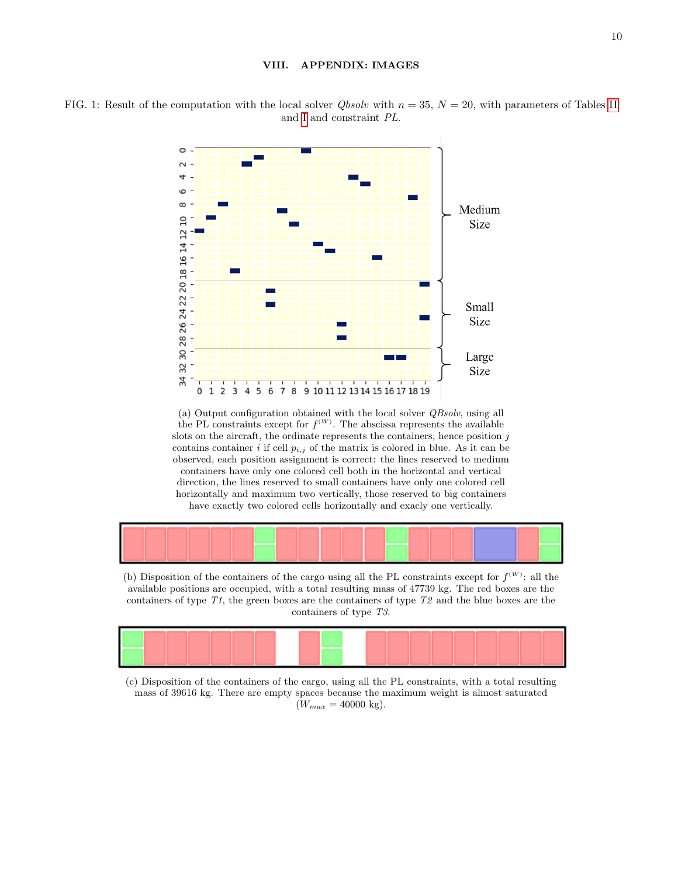## VIII. APPENDIX: IMAGES



<span id="page-9-0"></span>FIG. 1: Result of the computation with the local solver *Qbsolv* with  $n = 35$ ,  $N = 20$ , with parameters of Tables [II](#page-7-0) and [I](#page-7-1) and constraint PL.

(a) Output configuration obtained with the local solver QBsolv, using all the PL constraints except for  $f^{(W)}$ . The abscissa represents the available slots on the aircraft, the ordinate represents the containers, hence position  $j$ contains container i if cell  $p_{i,j}$  of the matrix is colored in blue. As it can be observed, each position assignment is correct: the lines reserved to medium containers have only one colored cell both in the horizontal and vertical direction, the lines reserved to small containers have only one colored cell horizontally and maximum two vertically, those reserved to big containers have exactly two colored cells horizontally and exacly one vertically.



(b) Disposition of the containers of the cargo using all the PL constraints except for  $f^{(W)}$ : all the available positions are occupied, with a total resulting mass of 47739 kg. The red boxes are the containers of type  $T1$ , the green boxes are the containers of type  $T2$  and the blue boxes are the containers of type T3.



(c) Disposition of the containers of the cargo, using all the PL constraints, with a total resulting mass of 39616 kg. There are empty spaces because the maximum weight is almost saturated  $(W_{max} = 40000 \text{ kg}).$